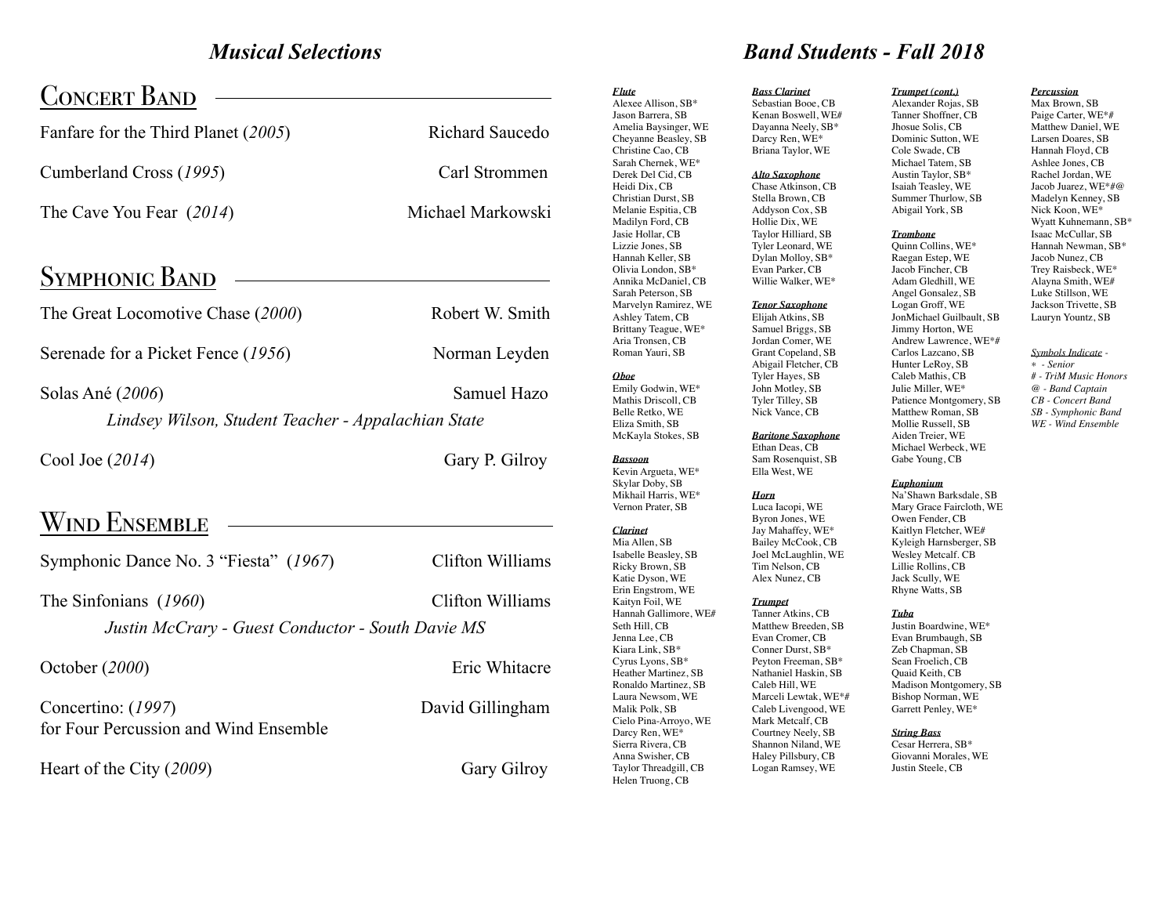# *Musical Selections*

| <b>CONCERT BAND</b>                                                        |                   |
|----------------------------------------------------------------------------|-------------------|
| Fanfare for the Third Planet (2005)                                        | Richard Saucedo   |
| Cumberland Cross (1995)                                                    | Carl Strommen     |
| The Cave You Fear (2014)                                                   | Michael Markowski |
| <b>SYMPHONIC BAND</b>                                                      |                   |
| The Great Locomotive Chase (2000)                                          | Robert W. Smith   |
| Serenade for a Picket Fence (1956)                                         | Norman Leyden     |
| Solas Ané (2006)<br>Lindsey Wilson, Student Teacher - Appalachian State    | Samuel Hazo       |
| Cool Joe (2014)                                                            | Gary P. Gilroy    |
| <b>WIND ENSEMBLE</b>                                                       |                   |
| Symphonic Dance No. 3 "Fiesta" (1967)                                      | Clifton Williams  |
| The Sinfonians (1960)<br>Justin McCrary - Guest Conductor - South Davie MS | Clifton Williams  |
| October (2000)                                                             | Eric Whitacre     |
| Concertino: (1997)<br>for Four Percussion and Wind Ensemble                | David Gillingham  |
| Heart of the City (2009)                                                   | Gary Gilroy       |

### Alexee Allison, SB\* Jason Barrera, SB Amelia Baysinger, WE Cheyanne Beasley, SB Christine Cao, CB Sarah Chernek, WE\* Derek Del Cid, CB Heidi Dix, CB Christian Durst, SB Melanie Espitia, CB Madilyn Ford, CB Jasie Hollar, CB Lizzie Jones, SB Hannah Keller, SB Olivia London, SB\* Annika McDaniel, CB Sarah Peterson, SB Marvelyn Ramirez, WE Ashley Tatem, CB Brittany Teague, WE\* Aria Tronsen, CB Roman Yauri, SB *Oboe* Emily Godwin, WE\* Mathis Driscoll, CB Belle Retko, WE Eliza Smith, SB McKayla Stokes, SB *Bassoon* Kevin Argueta, WE\* Skylar Doby, SB Mikhail Harris, WE\* Vernon Prater, SB *Clarinet* Mia Allen, SB Isabelle Beasley, SB Ricky Brown, SB Katie Dyson, WE Erin Engstrom, WE Kaityn Foil, WE Hannah Gallimore, WE# Seth Hill, CB Jenna Lee, CB Kiara Link, SB\* Cyrus Lyons, SB\* Heather Martinez, SB Ronaldo Martinez, SB Laura Newsom, WE Malik Polk, SB Cielo Pina-Arroyo, WE Darcy Ren, WE\* Sierra Rivera, CB

Anna Swisher, CB Taylor Threadgill, CB Helen Truong, CB

*Flute* 

# *Bass Clarinet Trumpet (cont.) Band Students - Fall 2018*

Sebastian Booe, CB Kenan Boswell, WE# Dayanna Neely, SB\* Darcy Ren, WE\* Briana Taylor, WE

## *Alto Saxophone*

Chase Atkinson, CB Stella Brown, CB Addyson Cox, SB Hollie Dix, WE Taylor Hilliard, SB Tyler Leonard, WE Dylan Molloy, SB\* Evan Parker, CB Willie Walker, WE\*

## *Tenor Saxophone*

Elijah Atkins, SB Samuel Briggs, SB Jordan Comer, WE Grant Copeland, SB Abigail Fletcher, CB Tyler Hayes, SB John Motley, SB Tyler Tilley, SB Nick Vance, CB

# *Baritone Saxophone*

Ethan Deas, CB Sam Rosenquist, SB Ella West, WE

# *Horn*

Luca Iacopi, WE Byron Jones, WE Jay Mahaffey, WE\* Bailey McCook, CB Joel McLaughlin, WE Tim Nelson, CB Alex Nunez, CB

# *Trumpet* Tanner Atkins, CB Matthew Breeden, SB

Evan Cromer, CB Conner Durst, SB\* Peyton Freeman, SB\* Nathaniel Haskin, SB Caleb Hill, WE Marceli Lewtak, WE\*# Caleb Livengood, WE Mark Metcalf, CB Courtney Neely, SB Shannon Niland, WE Haley Pillsbury, CB Logan Ramsey, WE

Alexander Rojas, SB Tanner Shoffner, CB Jhosue Solis, CB Dominic Sutton, WE Cole Swade, CB Michael Tatem, SB Austin Taylor, SB\* Isaiah Teasley, WE Summer Thurlow, SB Abigail York, SB

*Trombone* Quinn Collins, WE\* Raegan Estep, WE Jacob Fincher, CB Adam Gledhill, WE Angel Gonsalez, SB Logan Groff, WE JonMichael Guilbault, SB Jimmy Horton, WE Andrew Lawrence, WE\*# Carlos Lazcano, SB Hunter LeRoy, SB Caleb Mathis, CB Julie Miller, WE\* Patience Montgomery, SB Matthew Roman, SB Mollie Russell, SB Aiden Treier, WE

### *Percussion*  Max Brown, SB

Paige Carter, WE\*# Matthew Daniel, WE Larsen Doares, SB Hannah Floyd, CB Ashlee Jones, CB Rachel Jordan, WE Jacob Juarez, WE\*#@ Madelyn Kenney, SB Nick Koon, WE\* Wyatt Kuhnemann, SB\* Isaac McCullar, SB Hannah Newman, SB\* Jacob Nunez, CB Trey Raisbeck, WE\* Alayna Smith, WE# Luke Stillson, WE Jackson Trivette, SB Lauryn Yountz, SB

- *\* Senior # - TriM Music Honors @ - Band Captain CB - Concert Band*
- *WE Wind Ensemble*

# Gabe Young, CB *Euphonium*

Na'Shawn Barksdale, SB Mary Grace Faircloth, WE Owen Fender, CB Kaitlyn Fletcher, WE# Kyleigh Harnsberger, SB Wesley Metcalf. CB Lillie Rollins, CB Jack Scully, WE Rhyne Watts, SB

## *Tuba*

Justin Boardwine, WE\* Evan Brumbaugh, SB Zeb Chapman, SB Sean Froelich, CB Quaid Keith, CB Bishop Norman, WE Garrett Penley, WE\*

Cesar Herrera, SB\* Justin Steele, CB

*Symbols Indicate -* 

- *SB Symphonic Band*
- 
- 

Michael Werbeck, WE

Madison Montgomery, SB

*String Bass* Giovanni Morales, WE